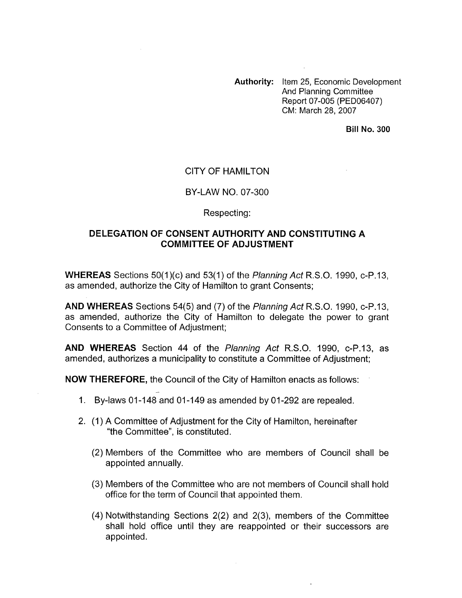**Authority:** Item 25, Economic Development And Planning Committee Report 07-005 (PED06407) CM: March 28, 2007

**Bill No. 300** 

## CITY OF HAMILTON

### BY-LAW NO. 07-300

#### Respecting:

# **DELEGATION OF CONSENT AUTHORITY AND CONSTITUTING A COMMITTEE OF ADJUSTMENT**

**WHEREAS** Sections 50(1)(c) and 53(1) of the *Planning Act* R.S.O. 1990, c-P.13, as amended, authorize the City of Hamilton to grant Consents;

**AND WHEREAS** Sections 54(5) and (7) of the *Planning Act* R.S.O. 1990, c-P.13, as amended, authorize the City of Hamilton to delegate the power to grant Consents to a Committee of Adjustment;

**AND WHEREAS** Section **44** of the *Planning Act* R.S.O. 1990, c-P.13, as amended, authorizes a municipality to constitute a Committee of Adjustment;

**NOW THEREFORE,** the Council of the City of Hamilton enacts as follows: -<br>-

- 1. By-laws 01-148 and 01-149 as amended by 01-292 are repealed.
- 2. (1) A Committee of Adjustment for the City of Hamilton, hereinafter "the Committee", is constituted.
	- (2) Members of the Committee who are members of Council shall be appointed annually.
	- (3) Members of the Committee who are not members of Council shall hold office for the term of Council that appointed them.
	- (4) Notwithstanding Sections 2(2) and 2(3), members of the Committee shall hold office until they are reappointed or their successors are appointed.